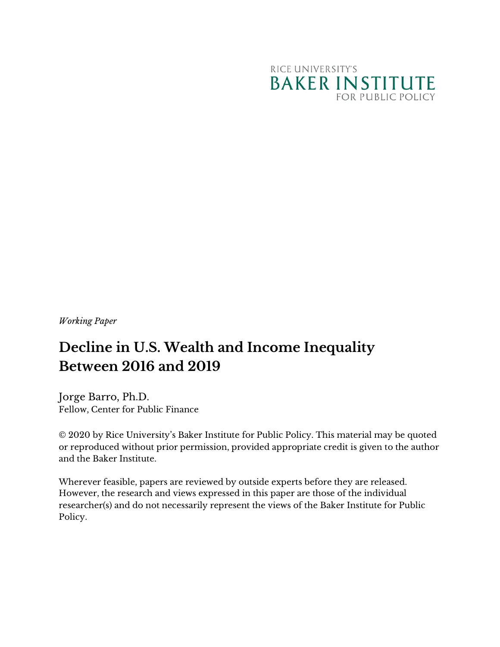

*Working Paper*

# **Decline in U.S. Wealth and Income Inequality Between 2016 and 2019**

Jorge Barro, Ph.D. Fellow, Center for Public Finance

© 2020 by Rice University's Baker Institute for Public Policy. This material may be quoted or reproduced without prior permission, provided appropriate credit is given to the author and the Baker Institute.

Wherever feasible, papers are reviewed by outside experts before they are released. However, the research and views expressed in this paper are those of the individual researcher(s) and do not necessarily represent the views of the Baker Institute for Public Policy.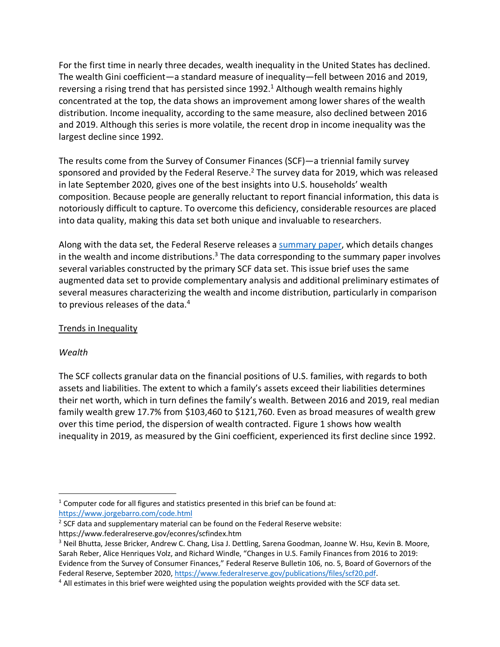For the first time in nearly three decades, wealth inequality in the United States has declined. The wealth Gini coefficient—a standard measure of inequality—fell between 2016 and 2019, reversing a rising trend that has persisted since  $1992<sup>1</sup>$  Although wealth remains highly concentrated at the top, the data shows an improvement among lower shares of the wealth distribution. Income inequality, according to the same measure, also declined between 2016 and 2019. Although this series is more volatile, the recent drop in income inequality was the largest decline since 1992.

The results come from the Survey of Consumer Finances (SCF)—a triennial family survey sponsored and provided by the Federal Reserve.<sup>2</sup> The survey data for 2019, which was released in late September 2020, gives one of the best insights into U.S. households' wealth composition. Because people are generally reluctant to report financial information, this data is notoriously difficult to capture. To overcome this deficiency, considerable resources are placed into data quality, making this data set both unique and invaluable to researchers.

Along with the data set, the Federal Reserve releases a summary paper, which details changes in the wealth and income distributions.<sup>3</sup> The data corresponding to the summary paper involves several variables constructed by the primary SCF data set. This issue brief uses the same augmented data set to provide complementary analysis and additional preliminary estimates of several measures characterizing the wealth and income distribution, particularly in comparison to previous releases of the data.<sup>4</sup>

# Trends in Inequality

# *Wealth*

The SCF collects granular data on the financial positions of U.S. families, with regards to both assets and liabilities. The extent to which a family's assets exceed their liabilities determines their net worth, which in turn defines the family's wealth. Between 2016 and 2019, real median family wealth grew 17.7% from \$103,460 to \$121,760. Even as broad measures of wealth grew over this time period, the dispersion of wealth contracted. Figure 1 shows how wealth inequality in 2019, as measured by the Gini coefficient, experienced its first decline since 1992.

<sup>&</sup>lt;sup>1</sup> Computer code for all figures and statistics presented in this brief can be found at: https://www.jorgebarro.com/code.html

 $2$  SCF data and supplementary material can be found on the Federal Reserve website: https://www.federalreserve.gov/econres/scfindex.htm

<sup>&</sup>lt;sup>3</sup> Neil Bhutta, Jesse Bricker, Andrew C. Chang, Lisa J. Dettling, Sarena Goodman, Joanne W. Hsu, Kevin B. Moore, Sarah Reber, Alice Henriques Volz, and Richard Windle, "Changes in U.S. Family Finances from 2016 to 2019: Evidence from the Survey of Consumer Finances," Federal Reserve Bulletin 106, no. 5, Board of Governors of the Federal Reserve, September 2020, https://www.federalreserve.gov/publications/files/scf20.pdf.<br><sup>4</sup> All estimates in this brief were weighted using the population weights provided with the SCF data set.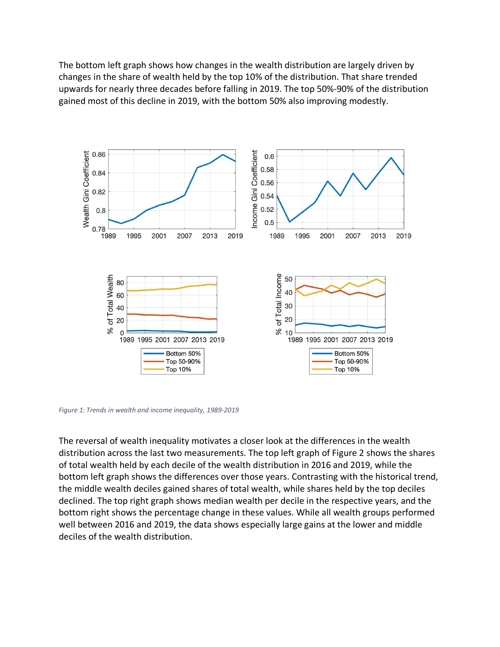The bottom left graph shows how changes in the wealth distribution are largely driven by changes in the share of wealth held by the top 10% of the distribution. That share trended upwards for nearly three decades before falling in 2019. The top 50%-90% of the distribution gained most of this decline in 2019, with the bottom 50% also improving modestly.



*Figure 1: Trends in wealth and income inequality, 1989-2019*

The reversal of wealth inequality motivates a closer look at the differences in the wealth distribution across the last two measurements. The top left graph of Figure 2 shows the shares of total wealth held by each decile of the wealth distribution in 2016 and 2019, while the bottom left graph shows the differences over those years. Contrasting with the historical trend, the middle wealth deciles gained shares of total wealth, while shares held by the top deciles declined. The top right graph shows median wealth per decile in the respective years, and the bottom right shows the percentage change in these values. While all wealth groups performed well between 2016 and 2019, the data shows especially large gains at the lower and middle deciles of the wealth distribution.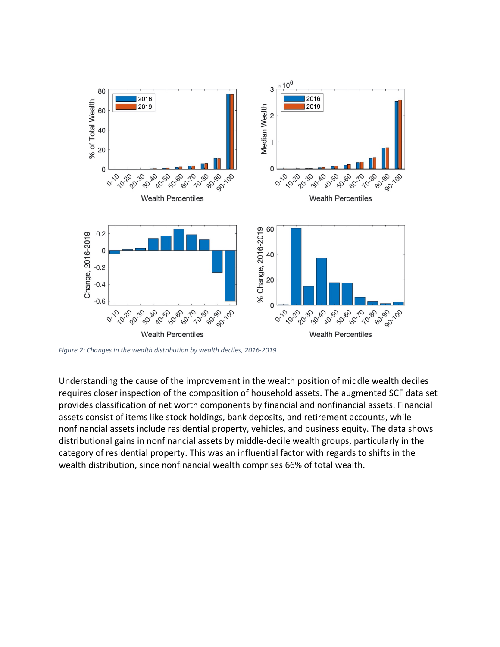

*Figure 2: Changes in the wealth distribution by wealth deciles, 2016-2019*

Understanding the cause of the improvement in the wealth position of middle wealth deciles requires closer inspection of the composition of household assets. The augmented SCF data set provides classification of net worth components by financial and nonfinancial assets. Financial assets consist of items like stock holdings, bank deposits, and retirement accounts, while nonfinancial assets include residential property, vehicles, and business equity. The data shows distributional gains in nonfinancial assets by middle-decile wealth groups, particularly in the category of residential property. This was an influential factor with regards to shifts in the wealth distribution, since nonfinancial wealth comprises 66% of total wealth.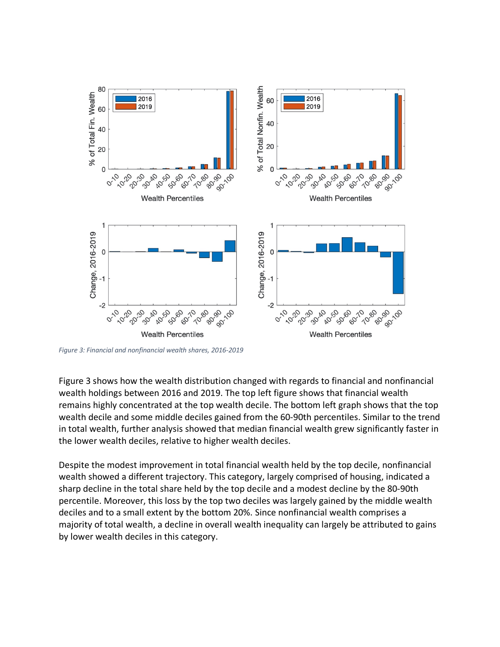

*Figure 3: Financial and nonfinancial wealth shares, 2016-2019*

Figure 3 shows how the wealth distribution changed with regards to financial and nonfinancial wealth holdings between 2016 and 2019. The top left figure shows that financial wealth remains highly concentrated at the top wealth decile. The bottom left graph shows that the top wealth decile and some middle deciles gained from the 60-90th percentiles. Similar to the trend in total wealth, further analysis showed that median financial wealth grew significantly faster in the lower wealth deciles, relative to higher wealth deciles.

Despite the modest improvement in total financial wealth held by the top decile, nonfinancial wealth showed a different trajectory. This category, largely comprised of housing, indicated a sharp decline in the total share held by the top decile and a modest decline by the 80-90th percentile. Moreover, this loss by the top two deciles was largely gained by the middle wealth deciles and to a small extent by the bottom 20%. Since nonfinancial wealth comprises a majority of total wealth, a decline in overall wealth inequality can largely be attributed to gains by lower wealth deciles in this category.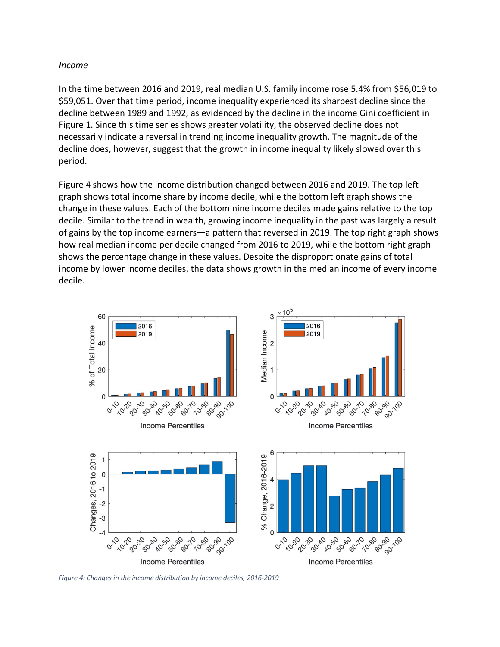#### *Income*

In the time between 2016 and 2019, real median U.S. family income rose 5.4% from \$56,019 to \$59,051. Over that time period, income inequality experienced its sharpest decline since the decline between 1989 and 1992, as evidenced by the decline in the income Gini coefficient in Figure 1. Since this time series shows greater volatility, the observed decline does not necessarily indicate a reversal in trending income inequality growth. The magnitude of the decline does, however, suggest that the growth in income inequality likely slowed over this period.

Figure 4 shows how the income distribution changed between 2016 and 2019. The top left graph shows total income share by income decile, while the bottom left graph shows the change in these values. Each of the bottom nine income deciles made gains relative to the top decile. Similar to the trend in wealth, growing income inequality in the past was largely a result of gains by the top income earners—a pattern that reversed in 2019. The top right graph shows how real median income per decile changed from 2016 to 2019, while the bottom right graph shows the percentage change in these values. Despite the disproportionate gains of total income by lower income deciles, the data shows growth in the median income of every income decile.



*Figure 4: Changes in the income distribution by income deciles, 2016-2019*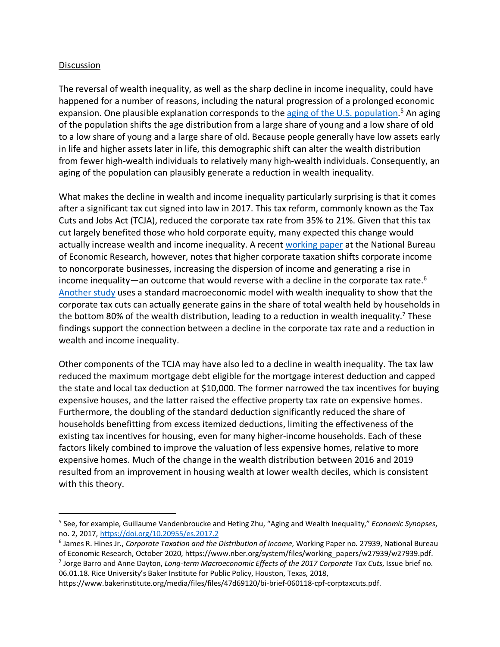## **Discussion**

The reversal of wealth inequality, as well as the sharp decline in income inequality, could have happened for a number of reasons, including the natural progression of a prolonged economic expansion. One plausible explanation corresponds to the aging of the U.S. population.<sup>5</sup> An aging of the population shifts the age distribution from a large share of young and a low share of old to a low share of young and a large share of old. Because people generally have low assets early in life and higher assets later in life, this demographic shift can alter the wealth distribution from fewer high-wealth individuals to relatively many high-wealth individuals. Consequently, an aging of the population can plausibly generate a reduction in wealth inequality.

What makes the decline in wealth and income inequality particularly surprising is that it comes after a significant tax cut signed into law in 2017. This tax reform, commonly known as the Tax Cuts and Jobs Act (TCJA), reduced the corporate tax rate from 35% to 21%. Given that this tax cut largely benefited those who hold corporate equity, many expected this change would actually increase wealth and income inequality. A recent working paper at the National Bureau of Economic Research, however, notes that higher corporate taxation shifts corporate income to noncorporate businesses, increasing the dispersion of income and generating a rise in income inequality—an outcome that would reverse with a decline in the corporate tax rate.<sup>6</sup> Another study uses a standard macroeconomic model with wealth inequality to show that the corporate tax cuts can actually generate gains in the share of total wealth held by households in the bottom 80% of the wealth distribution, leading to a reduction in wealth inequality.<sup>7</sup> These findings support the connection between a decline in the corporate tax rate and a reduction in wealth and income inequality.

Other components of the TCJA may have also led to a decline in wealth inequality. The tax law reduced the maximum mortgage debt eligible for the mortgage interest deduction and capped the state and local tax deduction at \$10,000. The former narrowed the tax incentives for buying expensive houses, and the latter raised the effective property tax rate on expensive homes. Furthermore, the doubling of the standard deduction significantly reduced the share of households benefitting from excess itemized deductions, limiting the effectiveness of the existing tax incentives for housing, even for many higher-income households. Each of these factors likely combined to improve the valuation of less expensive homes, relative to more expensive homes. Much of the change in the wealth distribution between 2016 and 2019 resulted from an improvement in housing wealth at lower wealth deciles, which is consistent with this theory.

<sup>7</sup> Jorge Barro and Anne Dayton, *Long-term Macroeconomic Effects of the 2017 Corporate Tax Cuts*, Issue brief no. 06.01.18. Rice University's Baker Institute for Public Policy, Houston, Texas, 2018,

 <sup>5</sup> See, for example, Guillaume Vandenbroucke and Heting Zhu, "Aging and Wealth Inequality," *Economic Synopses*, no. 2, 2017, https://doi.org/10.20955/es.2017.2

<sup>6</sup> James R. Hines Jr., *Corporate Taxation and the Distribution of Income*, Working Paper no. 27939, National Bureau of Economic Research, October 2020, https://www.nber.org/system/files/working\_papers/w27939/w27939.pdf.

https://www.bakerinstitute.org/media/files/files/47d69120/bi-brief-060118-cpf-corptaxcuts.pdf.